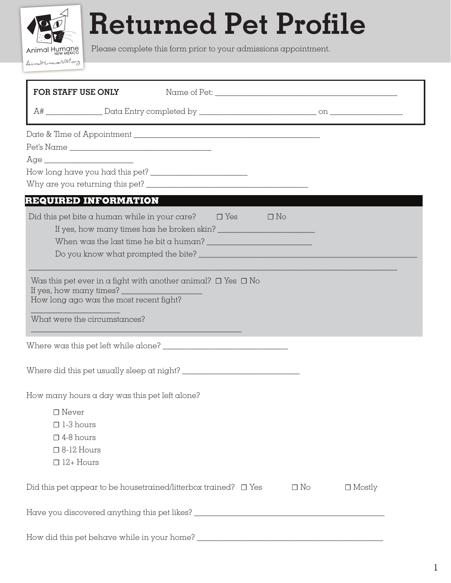## **Returned Pet Profile**

Please complete this form prior to your admissions appointment. Animal Humane

AnimalHumaneNM.org

| FOR STAFF USE ONLY                            |                                                                                                 |           |               |
|-----------------------------------------------|-------------------------------------------------------------------------------------------------|-----------|---------------|
|                                               |                                                                                                 |           |               |
|                                               |                                                                                                 |           |               |
|                                               |                                                                                                 |           |               |
|                                               |                                                                                                 |           |               |
|                                               |                                                                                                 |           |               |
|                                               |                                                                                                 |           |               |
| REQUIRED INFORMATION                          |                                                                                                 |           |               |
|                                               | Did this pet bite a human while in your care? $\square$ Yes $\square$ No                        |           |               |
|                                               |                                                                                                 |           |               |
|                                               | When was the last time he bit a human? $\frac{1}{2}$ . The set of the last time he bit a human? |           |               |
|                                               |                                                                                                 |           |               |
| What were the circumstances?                  |                                                                                                 |           |               |
|                                               |                                                                                                 |           |               |
| How many hours a day was this pet left alone? |                                                                                                 |           |               |
| $\square$ Never                               |                                                                                                 |           |               |
| $\Box$ 1-3 hours                              |                                                                                                 |           |               |
| $\square$ 4-8 hours                           |                                                                                                 |           |               |
| $\Box$ 8-12 Hours                             |                                                                                                 |           |               |
| $\Box$ 12+ Hours                              |                                                                                                 |           |               |
|                                               | Did this pet appear to be housetrained/litterbox trained? $\Box$ Yes                            | $\Box$ No | $\Box$ Mostly |
|                                               |                                                                                                 |           |               |
|                                               |                                                                                                 |           |               |